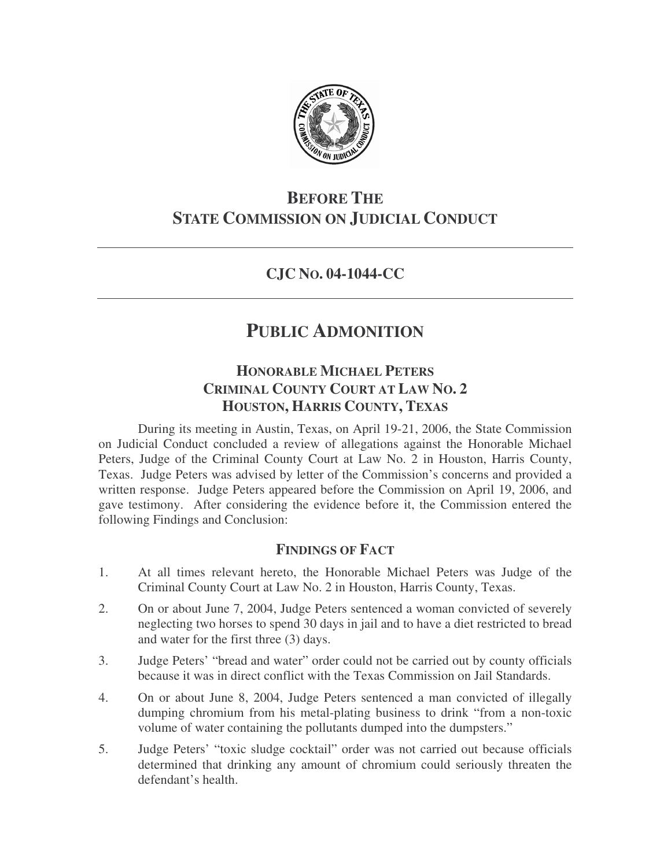

# **BEFORE THE STATE COMMISSION ON JUDICIAL CONDUCT**

## **CJC NO. 04-1044-CC**

# **PUBLIC ADMONITION**

## **HONORABLE MICHAEL PETERS CRIMINAL COUNTY COURT AT LAW NO. 2 HOUSTON, HARRIS COUNTY, TEXAS**

During its meeting in Austin, Texas, on April 19-21, 2006, the State Commission on Judicial Conduct concluded a review of allegations against the Honorable Michael Peters, Judge of the Criminal County Court at Law No. 2 in Houston, Harris County, Texas. Judge Peters was advised by letter of the Commission's concerns and provided a written response. Judge Peters appeared before the Commission on April 19, 2006, and gave testimony. After considering the evidence before it, the Commission entered the following Findings and Conclusion:

## **FINDINGS OF FACT**

- 1. At all times relevant hereto, the Honorable Michael Peters was Judge of the Criminal County Court at Law No. 2 in Houston, Harris County, Texas.
- 2. On or about June 7, 2004, Judge Peters sentenced a woman convicted of severely neglecting two horses to spend 30 days in jail and to have a diet restricted to bread and water for the first three (3) days.
- 3. Judge Peters' "bread and water" order could not be carried out by county officials because it was in direct conflict with the Texas Commission on Jail Standards.
- 4. On or about June 8, 2004, Judge Peters sentenced a man convicted of illegally dumping chromium from his metal-plating business to drink "from a non-toxic volume of water containing the pollutants dumped into the dumpsters."
- 5. Judge Peters' "toxic sludge cocktail" order was not carried out because officials determined that drinking any amount of chromium could seriously threaten the defendant's health.